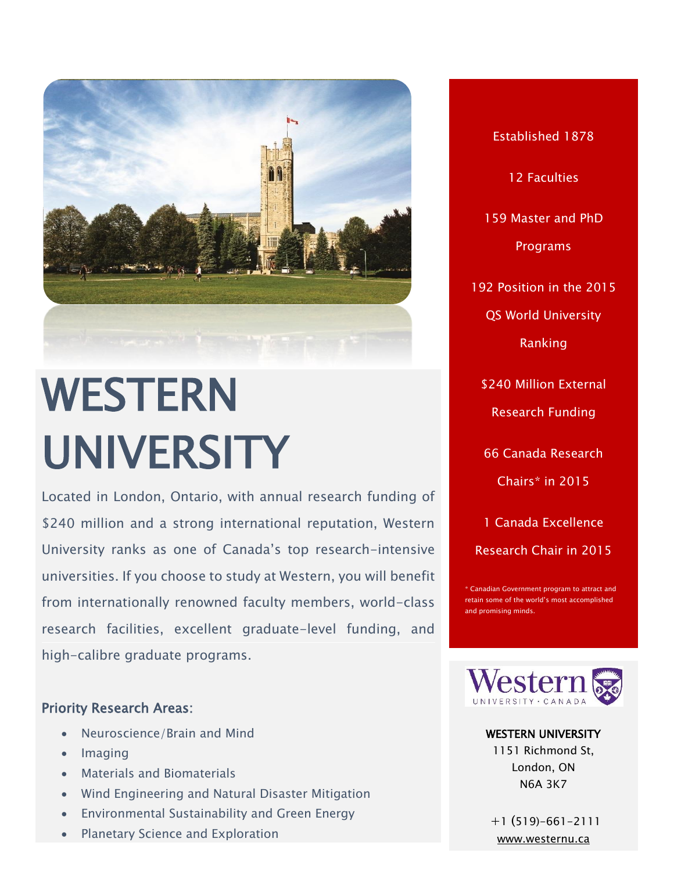

# WESTERN UNIVERSITY

Located in London, Ontario, with annual research funding of \$240 million and a strong international reputation, Western University ranks as one of Canada's top research-intensive universities. If you choose to study at Western, you will benefit from internationally renowned faculty members, world-class research facilities, excellent graduate-level funding, and high-calibre graduate programs.

### Priority Research Areas:

- Neuroscience/Brain and Mind
- $\bullet$  Imaging
- Materials and Biomaterials
- Wind Engineering and Natural Disaster Mitigation
- Environmental Sustainability and Green Energy
- Planetary Science and Exploration

Established 1878 12 Faculties 159 Master and PhD Programs 192 Position in the 2015 QS World University Ranking \$240 Million External Research Funding 66 Canada Research Chairs\* in 2015 1 Canada Excellence

Canadian Government program to attract and retain some of the world's most accomplished and promising minds.

Research Chair in 2015



WESTERN UNIVERSITY

1151 Richmond St, London, ON N6A 3K7

+1 (519)-661-2111 [www.westernu.ca](file:///C:/Users/Paulo%20Carvalho/Desktop/CALDO%20BROCHURE/www.westernu.ca)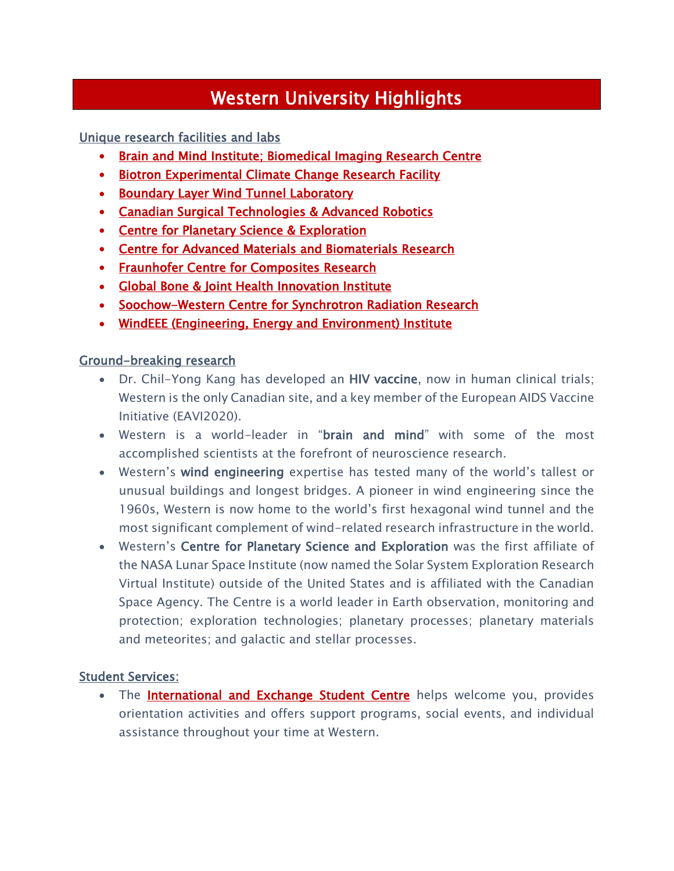## Western University Highlights

Unique research facilities and labs

- [Brain and Mind Institute;](http://www.uwo.ca/bmi/) Biomedical Imaging Research Centre
- Biotron Experimental Climate Change Research Facility
- **Boundary Layer Wind Tunnel Laboratory**
- **Canadian Surgical Technologies & Advanced Robotics**
- **Centre for Planetary Science & Exploration**
- [Centre for Advanced Materials and Biomaterials Research](http://www.uwo.ca/sci/departments/advanced_materials.html)
- **Fraunhofer Centre for Composites Research**
- [Global Bone & Joint Health Innovation Institute](http://boneandjoint.uwo.ca/)
- Soochow-Western Centre for Synchrotron Radiation Research
- [WindEEE \(Engineering, Energy and Environment\) Institute](http://www.eng.uwo.ca/windeee/)

#### Ground-breaking research

- Dr. Chil-Yong Kang has developed an HIV vaccine, now in human clinical trials; Western is the only Canadian site, and a key member of the European AIDS Vaccine Initiative (EAVI2020).
- Western is a world-leader in "brain and mind" with some of the most accomplished scientists at the forefront of neuroscience research.
- Western's wind engineering expertise has tested many of the world's tallest or unusual buildings and longest bridges. A pioneer in wind engineering since the 1960s, Western is now home to the world's first hexagonal wind tunnel and the most significant complement of wind-related research infrastructure in the world.
- Western's Centre for Planetary Science and Exploration was the first affiliate of the NASA Lunar Space Institute (now named the Solar System Exploration Research Virtual Institute) outside of the United States and is affiliated with the Canadian Space Agency. The Centre is a world leader in Earth observation, monitoring and protection; exploration technologies; planetary processes; planetary materials and meteorites; and galactic and stellar processes.

#### **Student Services:**

• The **[International and Exchange Student Centre](http://www.iesc.uwo.ca/)** helps welcome you, provides orientation activities and offers support programs, social events, and individual assistance throughout your time at Western.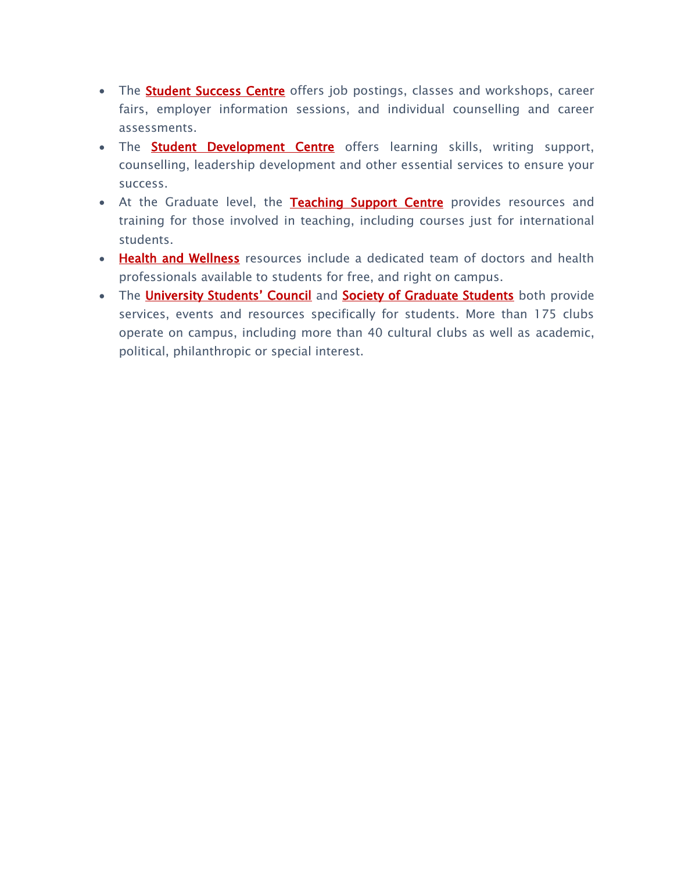- The **Student Success Centre** offers job postings, classes and workshops, career fairs, employer information sessions, and individual counselling and career assessments.
- The **[Student Development Centre](http://www.sdc.uwo.ca/)** offers learning skills, writing support, counselling, leadership development and other essential services to ensure your success.
- At the Graduate level, the [Teaching Support Centre](http://www.uwo.ca/tsc/) provides resources and training for those involved in teaching, including courses just for international students.
- [Health and Wellness](http://www.health.uwo.ca/) resources include a dedicated team of doctors and health professionals available to students for free, and right on campus.
- The **[University Students' Council](http://www.westernusc.ca/)** and **Society of Graduate Students** both provide services, events and resources specifically for students. More than 175 clubs operate on campus, including more than 40 cultural clubs as well as academic, political, philanthropic or special interest.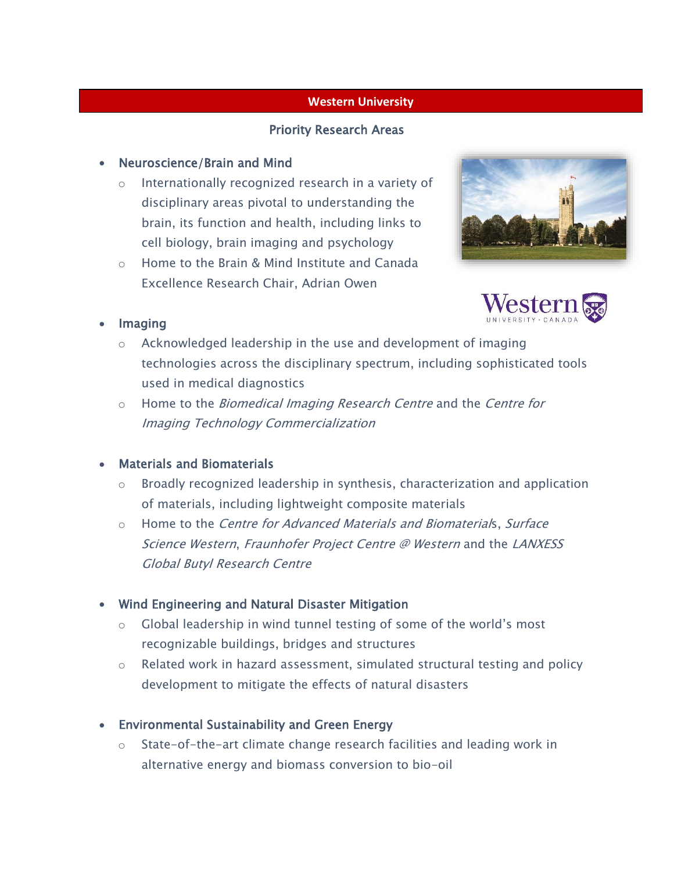#### **Western University**

#### Priority Research Areas

#### • Neuroscience/Brain and Mind

- o Internationally recognized research in a variety of disciplinary areas pivotal to understanding the brain, its function and health, including links to cell biology, brain imaging and psychology
- o Home to the Brain & Mind Institute and Canada Excellence Research Chair, Adrian Owen





#### • Imaging

- o Acknowledged leadership in the use and development of imaging technologies across the disciplinary spectrum, including sophisticated tools used in medical diagnostics
- o Home to the *Biomedical Imaging Research Centre* and the *Centre for* Imaging Technology Commercialization

#### Materials and Biomaterials

- o Broadly recognized leadership in synthesis, characterization and application of materials, including lightweight composite materials
- o Home to the *Centre for Advanced Materials and Biomaterials, Surface* Science Western, Fraunhofer Project Centre @ Western and the LANXESS Global Butyl Research Centre

#### Wind Engineering and Natural Disaster Mitigation

- $\circ$  Global leadership in wind tunnel testing of some of the world's most recognizable buildings, bridges and structures
- $\circ$  Related work in hazard assessment, simulated structural testing and policy development to mitigate the effects of natural disasters
- Environmental Sustainability and Green Energy
	- o State-of-the-art climate change research facilities and leading work in alternative energy and biomass conversion to bio-oil